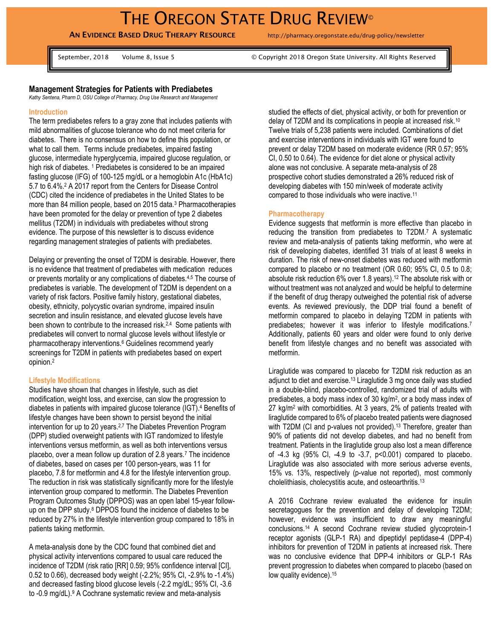**AN EVIDENCE BASED DRUG THERAPY RESOURCE** http://pharmacy.oregonstate.edu/drug-policy/newsletter

September, 2018 Volume 8, Issue 5 © Copyright 2018 Oregon State University. All Rights Reserved

# **Management Strategies for Patients with Prediabetes**

*Kathy Sentena, Pharm D, OSU College of Pharmacy, Drug Use Research and Management* 

#### **Introduction**

The term prediabetes refers to a gray zone that includes patients with mild abnormalities of glucose tolerance who do not meet criteria for diabetes. There is no consensus on how to define this population, or what to call them. Terms include prediabetes, impaired fasting glucose, intermediate hyperglycemia, impaired glucose regulation, or high risk of diabetes. <sup>1</sup> Prediabetes is considered to be an impaired fasting glucose (IFG) of 100-125 mg/dL or a hemoglobin A1c (HbA1c) 5.7 to 6.4%. <sup>2</sup> A 2017 report from the Centers for Disease Control (CDC) cited the incidence of prediabetes in the United States to be more than 84 million people, based on 2015 data.<sup>3</sup> Pharmacotherapies have been promoted for the delay or prevention of type 2 diabetes mellitus (T2DM) in individuals with prediabetes without strong evidence. The purpose of this newsletter is to discuss evidence regarding management strategies of patients with prediabetes.

Delaying or preventing the onset of T2DM is desirable. However, there is no evidence that treatment of prediabetes with medication reduces or prevents mortality or any complications of diabetes.4,5 The course of prediabetes is variable. The development of T2DM is dependent on a variety of risk factors. Positive family history, gestational diabetes, obesity, ethnicity, polycystic ovarian syndrome, impaired insulin secretion and insulin resistance, and elevated glucose levels have been shown to contribute to the increased risk.<sup>2,4</sup> Some patients with prediabetes will convert to normal glucose levels without lifestyle or pharmacotherapy interventions.<sup>6</sup> Guidelines recommend yearly screenings for T2DM in patients with prediabetes based on expert opinion.<sup>2</sup>

### **Lifestyle Modifications**

Studies have shown that changes in lifestyle, such as diet modification, weight loss, and exercise, can slow the progression to diabetes in patients with impaired glucose tolerance (IGT). <sup>4</sup> Benefits of lifestyle changes have been shown to persist beyond the initial intervention for up to 20 years. 2,7 The Diabetes Prevention Program (DPP) studied overweight patients with IGT randomized to lifestyle interventions versus metformin, as well as both interventions versus placebo, over a mean follow up duration of 2.8 years.<sup>7</sup> The incidence of diabetes, based on cases per 100 person-years, was 11 for placebo, 7.8 for metformin and 4.8 for the lifestyle intervention group. The reduction in risk was statistically significantly more for the lifestyle intervention group compared to metformin. The Diabetes Prevention Program Outcomes Study (DPPOS) was an open label 15-year followup on the DPP study.<sup>8</sup> DPPOS found the incidence of diabetes to be reduced by 27% in the lifestyle intervention group compared to 18% in patients taking metformin.

A meta-analysis done by the CDC found that combined diet and physical activity interventions compared to usual care reduced the incidence of T2DM (risk ratio [RR] 0.59; 95% confidence interval [CI], 0.52 to 0.66), decreased body weight (-2.2%; 95% CI, -2.9% to -1.4%) and decreased fasting blood glucose levels (-2.2 mg/dL; 95% CI, -3.6 to -0.9 mg/dL).<sup>9</sup> A Cochrane systematic review and meta-analysis

studied the effects of diet, physical activity, or both for prevention or delay of T2DM and its complications in people at increased risk.<sup>10</sup> Twelve trials of 5,238 patients were included. Combinations of diet and exercise interventions in individuals with IGT were found to prevent or delay T2DM based on moderate evidence (RR 0.57; 95% CI, 0.50 to 0.64). The evidence for diet alone or physical activity alone was not conclusive. A separate meta-analysis of 28 prospective cohort studies demonstrated a 26% reduced risk of developing diabetes with 150 min/week of moderate activity compared to those individuals who were inactive.<sup>11</sup>

### **Pharmacotherapy**

Evidence suggests that metformin is more effective than placebo in reducing the transition from prediabetes to T2DM.<sup>7</sup> A systematic review and meta-analysis of patients taking metformin, who were at risk of developing diabetes, identified 31 trials of at least 8 weeks in duration. The risk of new-onset diabetes was reduced with metformin compared to placebo or no treatment (OR 0.60; 95% CI, 0.5 to 0.8; absolute risk reduction 6% over 1.8 years). <sup>12</sup> The absolute risk with or without treatment was not analyzed and would be helpful to determine if the benefit of drug therapy outweighed the potential risk of adverse events. As reviewed previously, the DDP trial found a benefit of metformin compared to placebo in delaying T2DM in patients with prediabetes; however it was inferior to lifestyle modifications.<sup>7</sup> Additionally, patients 60 years and older were found to only derive benefit from lifestyle changes and no benefit was associated with metformin.

Liraglutide was compared to placebo for T2DM risk reduction as an adjunct to diet and exercise.<sup>13</sup> Liraglutide 3 mg once daily was studied in a double-blind, placebo-controlled, randomized trial of adults with prediabetes, a body mass index of 30 kg/m<sup>2</sup>, or a body mass index of 27 kg/m<sup>2</sup> with comorbidities. At 3 years, 2% of patients treated with liraglutide compared to 6% of placebo treated patients were diagnosed with T2DM (CI and p-values not provided).<sup>13</sup> Therefore, greater than 90% of patients did not develop diabetes, and had no benefit from treatment. Patients in the liraglutide group also lost a mean difference of -4.3 kg (95% CI, -4.9 to -3.7, p<0.001) compared to placebo. Liraglutide was also associated with more serious adverse events, 15% vs. 13%, respectively (p-value not reported), most commonly cholelithiasis, cholecystitis acute, and osteoarthritis. 13

A 2016 Cochrane review evaluated the evidence for insulin secretagogues for the prevention and delay of developing T2DM; however, evidence was insufficient to draw any meaningful conclusions. <sup>14</sup> A second Cochrane review studied glycoprotein-1 receptor agonists (GLP-1 RA) and dipeptidyl peptidase-4 (DPP-4) inhibitors for prevention of T2DM in patients at increased risk. There was no conclusive evidence that DPP-4 inhibitors or GLP-1 RAs prevent progression to diabetes when compared to placebo (based on low quality evidence).<sup>15</sup>